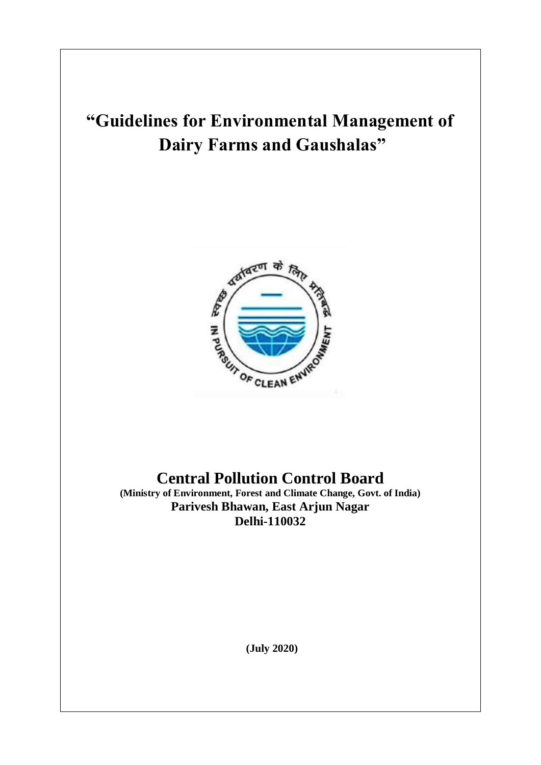# **"Guidelines for Environmental Management of Dairy Farms and Gaushalas"**



## **Central Pollution Control Board**

**(Ministry of Environment, Forest and Climate Change, Govt. of India) Parivesh Bhawan, East Arjun Nagar Delhi-110032**

**(July 2020)**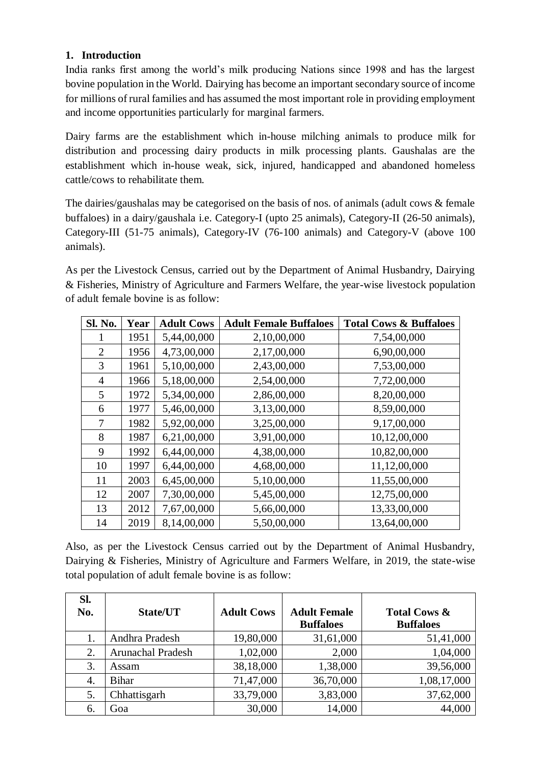#### **1. Introduction**

India ranks first among the world's milk producing Nations since 1998 and has the largest bovine population in the World. Dairying has become an important secondary source of income for millions of rural families and has assumed the most important role in providing employment and income opportunities particularly for marginal farmers.

Dairy farms are the establishment which in-house milching animals to produce milk for distribution and processing dairy products in milk processing plants. Gaushalas are the establishment which in-house weak, sick, injured, handicapped and abandoned homeless cattle/cows to rehabilitate them.

The dairies/gaushalas may be categorised on the basis of nos. of animals (adult cows & female buffaloes) in a dairy/gaushala i.e. Category-I (upto 25 animals), Category-II (26-50 animals), Category-III (51-75 animals), Category-IV (76-100 animals) and Category-V (above 100 animals).

As per the Livestock Census, carried out by the Department of Animal Husbandry, Dairying & Fisheries, Ministry of Agriculture and Farmers Welfare, the year-wise livestock population of adult female bovine is as follow:

| <b>Sl. No.</b> | Year | <b>Adult Cows</b> | <b>Adult Female Buffaloes</b> | <b>Total Cows &amp; Buffaloes</b> |
|----------------|------|-------------------|-------------------------------|-----------------------------------|
|                | 1951 | 5,44,00,000       | 2,10,00,000                   | 7,54,00,000                       |
| $\overline{2}$ | 1956 | 4,73,00,000       | 2,17,00,000                   | 6,90,00,000                       |
| 3              | 1961 | 5,10,00,000       | 2,43,00,000                   | 7,53,00,000                       |
| 4              | 1966 | 5,18,00,000       | 2,54,00,000                   | 7,72,00,000                       |
| 5              | 1972 | 5,34,00,000       | 2,86,00,000                   | 8,20,00,000                       |
| 6              | 1977 | 5,46,00,000       | 3,13,00,000                   | 8,59,00,000                       |
| 7              | 1982 | 5,92,00,000       | 3,25,00,000                   | 9,17,00,000                       |
| 8              | 1987 | 6,21,00,000       | 3,91,00,000                   | 10,12,00,000                      |
| 9              | 1992 | 6,44,00,000       | 4,38,00,000                   | 10,82,00,000                      |
| 10             | 1997 | 6,44,00,000       | 4,68,00,000                   | 11,12,00,000                      |
| 11             | 2003 | 6,45,00,000       | 5,10,00,000                   | 11,55,00,000                      |
| 12             | 2007 | 7,30,00,000       | 5,45,00,000                   | 12,75,00,000                      |
| 13             | 2012 | 7,67,00,000       | 5,66,00,000                   | 13,33,00,000                      |
| 14             | 2019 | 8,14,00,000       | 5,50,00,000                   | 13,64,00,000                      |

Also, as per the Livestock Census carried out by the Department of Animal Husbandry, Dairying & Fisheries, Ministry of Agriculture and Farmers Welfare, in 2019, the state-wise total population of adult female bovine is as follow:

| Sl.<br>No. | <b>State/UT</b>   | <b>Adult Cows</b> | <b>Adult Female</b><br><b>Buffaloes</b> | <b>Total Cows &amp;</b><br><b>Buffaloes</b> |
|------------|-------------------|-------------------|-----------------------------------------|---------------------------------------------|
|            | Andhra Pradesh    | 19,80,000         | 31,61,000                               | 51,41,000                                   |
| 2.         | Arunachal Pradesh | 1,02,000          | 2,000                                   | 1,04,000                                    |
| 3.         | Assam             | 38,18,000         | 1,38,000                                | 39,56,000                                   |
| 4.         | <b>Bihar</b>      | 71,47,000         | 36,70,000                               | 1,08,17,000                                 |
| 5.         | Chhattisgarh      | 33,79,000         | 3,83,000                                | 37,62,000                                   |
| 6.         | Goa               | 30,000            | 14,000                                  | 44,000                                      |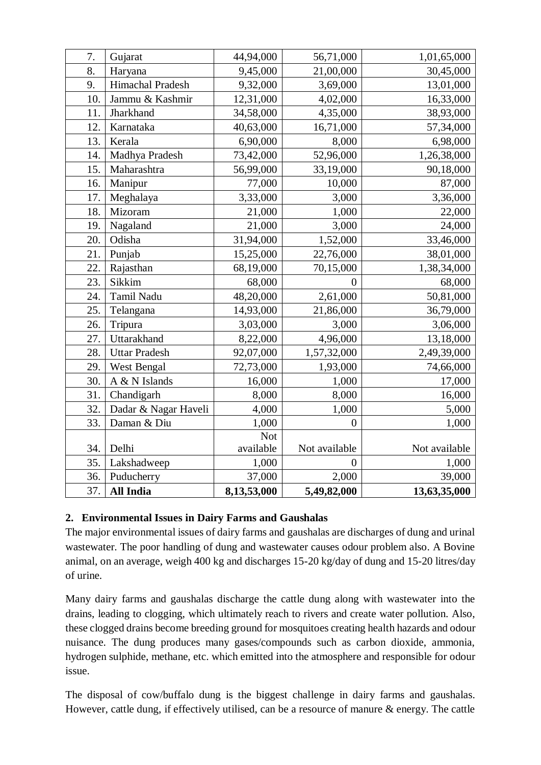| 7.  | Gujarat              | 44,94,000   | 56,71,000      | 1,01,65,000   |
|-----|----------------------|-------------|----------------|---------------|
| 8.  | Haryana              | 9,45,000    | 21,00,000      | 30,45,000     |
| 9.  | Himachal Pradesh     | 9,32,000    | 3,69,000       | 13,01,000     |
| 10. | Jammu & Kashmir      | 12,31,000   | 4,02,000       | 16,33,000     |
| 11. | Jharkhand            | 34,58,000   | 4,35,000       | 38,93,000     |
| 12. | Karnataka            | 40,63,000   | 16,71,000      | 57,34,000     |
| 13. | Kerala               | 6,90,000    | 8,000          | 6,98,000      |
| 14. | Madhya Pradesh       | 73,42,000   | 52,96,000      | 1,26,38,000   |
| 15. | Maharashtra          | 56,99,000   | 33,19,000      | 90,18,000     |
| 16. | Manipur              | 77,000      | 10,000         | 87,000        |
| 17. | Meghalaya            | 3,33,000    | 3,000          | 3,36,000      |
| 18. | Mizoram              | 21,000      | 1,000          | 22,000        |
| 19. | Nagaland             | 21,000      | 3,000          | 24,000        |
| 20. | Odisha               | 31,94,000   | 1,52,000       | 33,46,000     |
| 21. | Punjab               | 15,25,000   | 22,76,000      | 38,01,000     |
| 22. | Rajasthan            | 68,19,000   | 70,15,000      | 1,38,34,000   |
| 23. | Sikkim               | 68,000      | $\Omega$       | 68,000        |
| 24. | <b>Tamil Nadu</b>    | 48,20,000   | 2,61,000       | 50,81,000     |
| 25. | Telangana            | 14,93,000   | 21,86,000      | 36,79,000     |
| 26. | Tripura              | 3,03,000    | 3,000          | 3,06,000      |
| 27. | Uttarakhand          | 8,22,000    | 4,96,000       | 13,18,000     |
| 28. | <b>Uttar Pradesh</b> | 92,07,000   | 1,57,32,000    | 2,49,39,000   |
| 29. | West Bengal          | 72,73,000   | 1,93,000       | 74,66,000     |
| 30. | A & N Islands        | 16,000      | 1,000          | 17,000        |
| 31. | Chandigarh           | 8,000       | 8,000          | 16,000        |
| 32. | Dadar & Nagar Haveli | 4,000       | 1,000          | 5,000         |
| 33. | Daman & Diu          | 1,000       | $\overline{0}$ | 1,000         |
|     |                      | <b>Not</b>  |                |               |
| 34. | Delhi                | available   | Not available  | Not available |
| 35. | Lakshadweep          | 1,000       | $\overline{0}$ | 1,000         |
| 36. | Puducherry           | 37,000      | 2,000          | 39,000        |
| 37. | <b>All India</b>     | 8,13,53,000 | 5,49,82,000    | 13,63,35,000  |

#### **2. Environmental Issues in Dairy Farms and Gaushalas**

The major environmental issues of dairy farms and gaushalas are discharges of dung and urinal wastewater. The poor handling of dung and wastewater causes odour problem also. A Bovine animal, on an average, weigh 400 kg and discharges 15-20 kg/day of dung and 15-20 litres/day of urine.

Many dairy farms and gaushalas discharge the cattle dung along with wastewater into the drains, leading to clogging, which ultimately reach to rivers and create water pollution. Also, these clogged drains become breeding ground for mosquitoes creating health hazards and odour nuisance. The dung produces many gases/compounds such as carbon dioxide, ammonia, hydrogen sulphide, methane, etc. which emitted into the atmosphere and responsible for odour issue.

The disposal of cow/buffalo dung is the biggest challenge in dairy farms and gaushalas. However, cattle dung, if effectively utilised, can be a resource of manure & energy. The cattle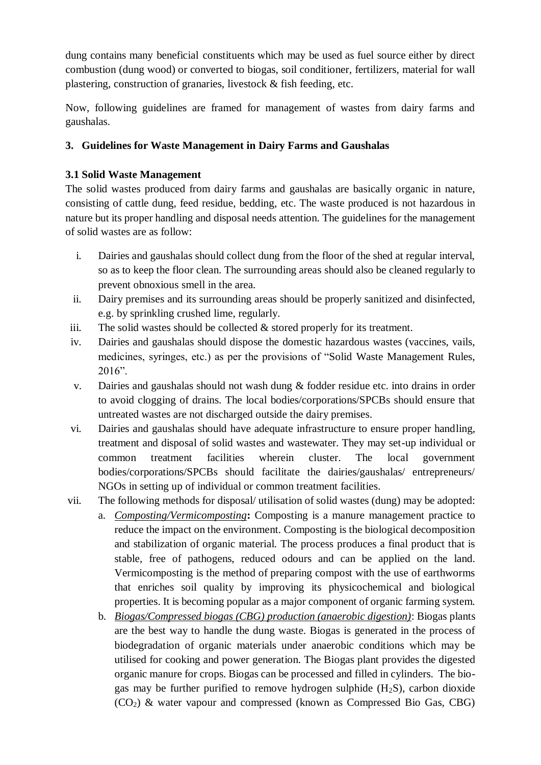dung contains many beneficial constituents which may be used as fuel source either by direct combustion (dung wood) or converted to biogas, soil conditioner, fertilizers, material for wall plastering, construction of granaries, livestock & fish feeding, etc.

Now, following guidelines are framed for management of wastes from dairy farms and gaushalas.

#### **3. Guidelines for Waste Management in Dairy Farms and Gaushalas**

#### **3.1 Solid Waste Management**

The solid wastes produced from dairy farms and gaushalas are basically organic in nature, consisting of cattle dung, feed residue, bedding, etc. The waste produced is not hazardous in nature but its proper handling and disposal needs attention. The guidelines for the management of solid wastes are as follow:

- i. Dairies and gaushalas should collect dung from the floor of the shed at regular interval, so as to keep the floor clean. The surrounding areas should also be cleaned regularly to prevent obnoxious smell in the area.
- ii. Dairy premises and its surrounding areas should be properly sanitized and disinfected, e.g. by sprinkling crushed lime, regularly.
- iii. The solid wastes should be collected  $&$  stored properly for its treatment.
- iv. Dairies and gaushalas should dispose the domestic hazardous wastes (vaccines, vails, medicines, syringes, etc.) as per the provisions of "Solid Waste Management Rules, 2016".
- v. Dairies and gaushalas should not wash dung & fodder residue etc. into drains in order to avoid clogging of drains. The local bodies/corporations/SPCBs should ensure that untreated wastes are not discharged outside the dairy premises.
- vi. Dairies and gaushalas should have adequate infrastructure to ensure proper handling, treatment and disposal of solid wastes and wastewater. They may set-up individual or common treatment facilities wherein cluster. The local government bodies/corporations/SPCBs should facilitate the dairies/gaushalas/ entrepreneurs/ NGOs in setting up of individual or common treatment facilities.
- vii. The following methods for disposal/ utilisation of solid wastes (dung) may be adopted:
	- a. *Composting/Vermicomposting***:** Composting is a manure management practice to reduce the impact on the environment. Composting is the biological decomposition and stabilization of organic material. The process produces a final product that is stable, free of pathogens, reduced odours and can be applied on the land. Vermicomposting is the method of preparing compost with the use of earthworms that enriches soil quality by improving its physicochemical and biological properties. It is becoming popular as a major component of organic farming system.
	- b. *Biogas/Compressed biogas (CBG) production (anaerobic digestion)*: Biogas plants are the best way to handle the dung waste. Biogas is generated in the process of biodegradation of organic materials under anaerobic conditions which may be utilised for cooking and power generation. The Biogas plant provides the digested organic manure for crops. Biogas can be processed and filled in cylinders. The biogas may be further purified to remove hydrogen sulphide  $(H_2S)$ , carbon dioxide (CO2) & water vapour and compressed (known as Compressed Bio Gas, CBG)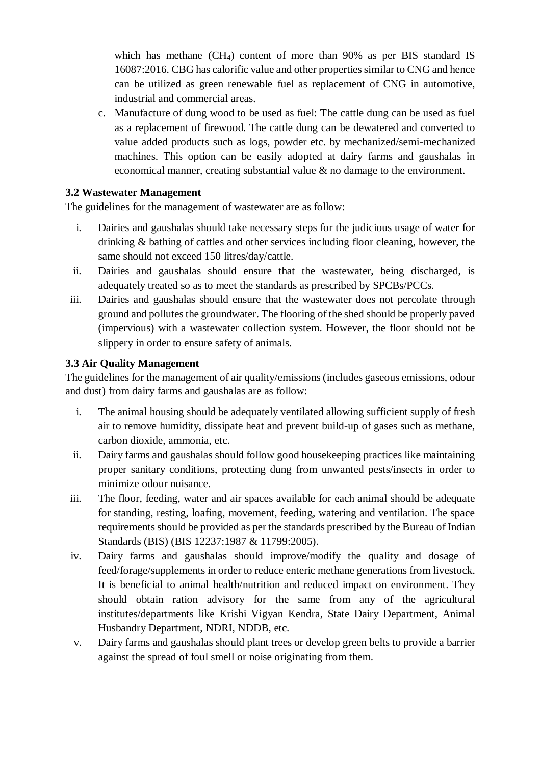which has methane (CH<sub>4</sub>) content of more than 90% as per BIS standard IS 16087:2016. CBG has calorific value and other properties similar to CNG and hence can be utilized as green renewable fuel as replacement of CNG in automotive, industrial and commercial areas.

c. Manufacture of dung wood to be used as fuel: The cattle dung can be used as fuel as a replacement of firewood. The cattle dung can be dewatered and converted to value added products such as logs, powder etc. by mechanized/semi-mechanized machines. This option can be easily adopted at dairy farms and gaushalas in economical manner, creating substantial value & no damage to the environment.

#### **3.2 Wastewater Management**

The guidelines for the management of wastewater are as follow:

- i. Dairies and gaushalas should take necessary steps for the judicious usage of water for drinking & bathing of cattles and other services including floor cleaning, however, the same should not exceed 150 litres/day/cattle.
- ii. Dairies and gaushalas should ensure that the wastewater, being discharged, is adequately treated so as to meet the standards as prescribed by SPCBs/PCCs.
- iii. Dairies and gaushalas should ensure that the wastewater does not percolate through ground and pollutes the groundwater. The flooring of the shed should be properly paved (impervious) with a wastewater collection system. However, the floor should not be slippery in order to ensure safety of animals.

#### **3.3 Air Quality Management**

The guidelines for the management of air quality/emissions (includes gaseous emissions, odour and dust) from dairy farms and gaushalas are as follow:

- i. The animal housing should be adequately ventilated allowing sufficient supply of fresh air to remove humidity, dissipate heat and prevent build-up of gases such as methane, carbon dioxide, ammonia, etc.
- ii. Dairy farms and gaushalas should follow good housekeeping practices like maintaining proper sanitary conditions, protecting dung from unwanted pests/insects in order to minimize odour nuisance.
- iii. The floor, feeding, water and air spaces available for each animal should be adequate for standing, resting, loafing, movement, feeding, watering and ventilation. The space requirements should be provided as per the standards prescribed by the Bureau of Indian Standards (BIS) (BIS 12237:1987 & 11799:2005).
- iv. Dairy farms and gaushalas should improve/modify the quality and dosage of feed/forage/supplements in order to reduce enteric methane generations from livestock. It is beneficial to animal health/nutrition and reduced impact on environment. They should obtain ration advisory for the same from any of the agricultural institutes/departments like Krishi Vigyan Kendra, State Dairy Department, Animal Husbandry Department, NDRI, NDDB, etc.
- v. Dairy farms and gaushalas should plant trees or develop green belts to provide a barrier against the spread of foul smell or noise originating from them.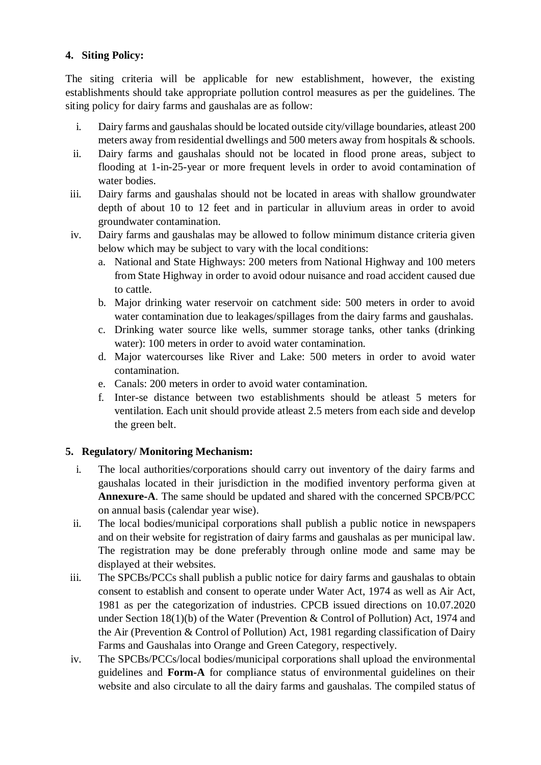#### **4. Siting Policy:**

The siting criteria will be applicable for new establishment, however, the existing establishments should take appropriate pollution control measures as per the guidelines. The siting policy for dairy farms and gaushalas are as follow:

- i. Dairy farms and gaushalas should be located outside city/village boundaries, atleast 200 meters away from residential dwellings and 500 meters away from hospitals & schools.
- ii. Dairy farms and gaushalas should not be located in flood prone areas, subject to flooding at 1-in-25-year or more frequent levels in order to avoid contamination of water bodies.
- iii. Dairy farms and gaushalas should not be located in areas with shallow groundwater depth of about 10 to 12 feet and in particular in alluvium areas in order to avoid groundwater contamination.
- iv. Dairy farms and gaushalas may be allowed to follow minimum distance criteria given below which may be subject to vary with the local conditions:
	- a. National and State Highways: 200 meters from National Highway and 100 meters from State Highway in order to avoid odour nuisance and road accident caused due to cattle.
	- b. Major drinking water reservoir on catchment side: 500 meters in order to avoid water contamination due to leakages/spillages from the dairy farms and gaushalas.
	- c. Drinking water source like wells, summer storage tanks, other tanks (drinking water): 100 meters in order to avoid water contamination.
	- d. Major watercourses like River and Lake: 500 meters in order to avoid water contamination.
	- e. Canals: 200 meters in order to avoid water contamination.
	- f. Inter-se distance between two establishments should be atleast 5 meters for ventilation. Each unit should provide atleast 2.5 meters from each side and develop the green belt.

#### **5. Regulatory/ Monitoring Mechanism:**

- i. The local authorities/corporations should carry out inventory of the dairy farms and gaushalas located in their jurisdiction in the modified inventory performa given at **Annexure-A**. The same should be updated and shared with the concerned SPCB/PCC on annual basis (calendar year wise).
- ii. The local bodies/municipal corporations shall publish a public notice in newspapers and on their website for registration of dairy farms and gaushalas as per municipal law. The registration may be done preferably through online mode and same may be displayed at their websites.
- iii. The SPCBs/PCCs shall publish a public notice for dairy farms and gaushalas to obtain consent to establish and consent to operate under Water Act, 1974 as well as Air Act, 1981 as per the categorization of industries. CPCB issued directions on 10.07.2020 under Section 18(1)(b) of the Water (Prevention & Control of Pollution) Act, 1974 and the Air (Prevention & Control of Pollution) Act, 1981 regarding classification of Dairy Farms and Gaushalas into Orange and Green Category, respectively.
- iv. The SPCBs/PCCs/local bodies/municipal corporations shall upload the environmental guidelines and **Form-A** for compliance status of environmental guidelines on their website and also circulate to all the dairy farms and gaushalas. The compiled status of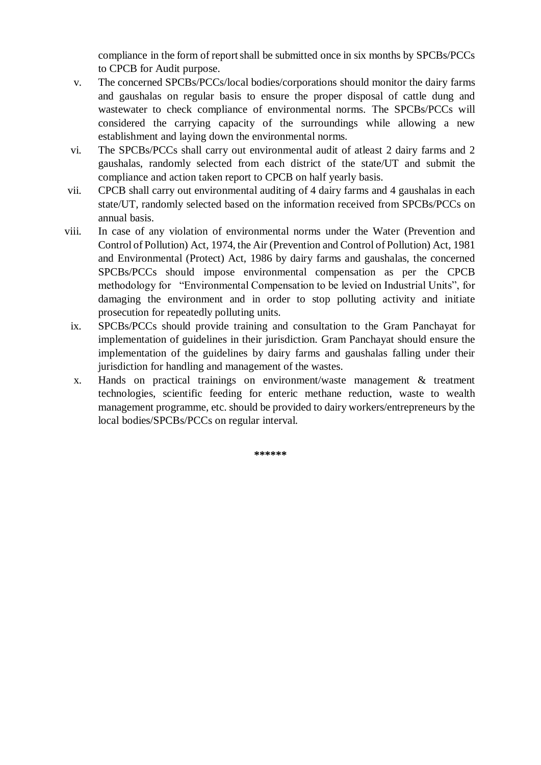compliance in the form of report shall be submitted once in six months by SPCBs/PCCs to CPCB for Audit purpose.

- v. The concerned SPCBs/PCCs/local bodies/corporations should monitor the dairy farms and gaushalas on regular basis to ensure the proper disposal of cattle dung and wastewater to check compliance of environmental norms. The SPCBs/PCCs will considered the carrying capacity of the surroundings while allowing a new establishment and laying down the environmental norms.
- vi. The SPCBs/PCCs shall carry out environmental audit of atleast 2 dairy farms and 2 gaushalas, randomly selected from each district of the state/UT and submit the compliance and action taken report to CPCB on half yearly basis.
- vii. CPCB shall carry out environmental auditing of 4 dairy farms and 4 gaushalas in each state/UT, randomly selected based on the information received from SPCBs/PCCs on annual basis.
- viii. In case of any violation of environmental norms under the Water (Prevention and Control of Pollution) Act, 1974, the Air (Prevention and Control of Pollution) Act, 1981 and Environmental (Protect) Act, 1986 by dairy farms and gaushalas, the concerned SPCBs/PCCs should impose environmental compensation as per the CPCB methodology for "Environmental Compensation to be levied on Industrial Units", for damaging the environment and in order to stop polluting activity and initiate prosecution for repeatedly polluting units.
	- ix. SPCBs/PCCs should provide training and consultation to the Gram Panchayat for implementation of guidelines in their jurisdiction. Gram Panchayat should ensure the implementation of the guidelines by dairy farms and gaushalas falling under their jurisdiction for handling and management of the wastes.
	- x. Hands on practical trainings on environment/waste management & treatment technologies, scientific feeding for enteric methane reduction, waste to wealth management programme, etc. should be provided to dairy workers/entrepreneurs by the local bodies/SPCBs/PCCs on regular interval.

**\*\*\*\*\*\***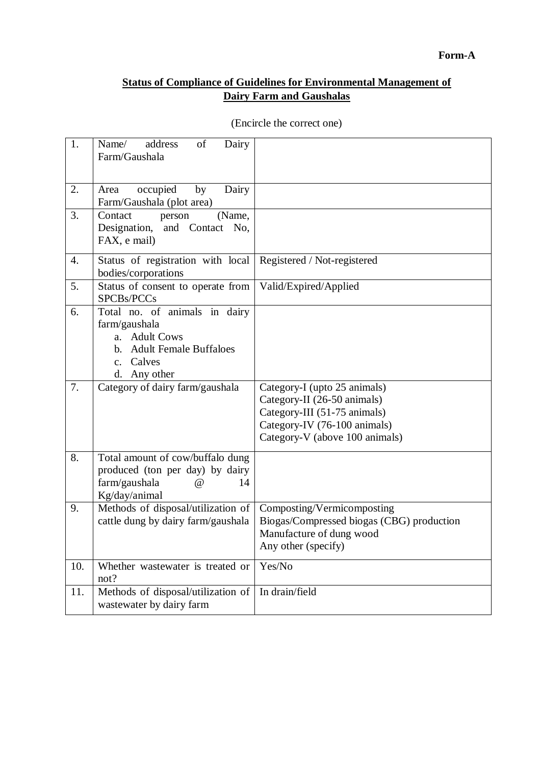#### **Status of Compliance of Guidelines for Environmental Management of Dairy Farm and Gaushalas**

| 1.  | Name/<br>address<br>$% \left( \left( \mathcal{A},\mathcal{A}\right) \right) =\left( \mathcal{A},\mathcal{A}\right)$ of<br>Dairy<br>Farm/Gaushala |                                                                                                                                                               |
|-----|--------------------------------------------------------------------------------------------------------------------------------------------------|---------------------------------------------------------------------------------------------------------------------------------------------------------------|
|     |                                                                                                                                                  |                                                                                                                                                               |
| 2.  | occupied<br>Area<br>by<br>Dairy<br>Farm/Gaushala (plot area)                                                                                     |                                                                                                                                                               |
| 3.  | (Name,<br>Contact<br>person<br>Designation, and Contact No,<br>FAX, e mail)                                                                      |                                                                                                                                                               |
| 4.  | Status of registration with local<br>bodies/corporations                                                                                         | Registered / Not-registered                                                                                                                                   |
| 5.  | Status of consent to operate from<br>SPCBs/PCCs                                                                                                  | Valid/Expired/Applied                                                                                                                                         |
| 6.  | Total no. of animals in dairy<br>farm/gaushala<br>a. Adult Cows<br>b. Adult Female Buffaloes<br>c. Calves<br>d. Any other                        |                                                                                                                                                               |
| 7.  | Category of dairy farm/gaushala                                                                                                                  | Category-I (upto 25 animals)<br>Category-II (26-50 animals)<br>Category-III (51-75 animals)<br>Category-IV (76-100 animals)<br>Category-V (above 100 animals) |
| 8.  | Total amount of cow/buffalo dung<br>produced (ton per day) by dairy<br>farm/gaushala<br>$\omega$<br>14<br>Kg/day/animal                          |                                                                                                                                                               |
| 9.  | Methods of disposal/utilization of<br>cattle dung by dairy farm/gaushala                                                                         | Composting/Vermicomposting<br>Biogas/Compressed biogas (CBG) production<br>Manufacture of dung wood<br>Any other (specify)                                    |
| 10. | Whether wastewater is treated or<br>not?                                                                                                         | Yes/No                                                                                                                                                        |
| 11. | Methods of disposal/utilization of<br>wastewater by dairy farm                                                                                   | In drain/field                                                                                                                                                |

(Encircle the correct one)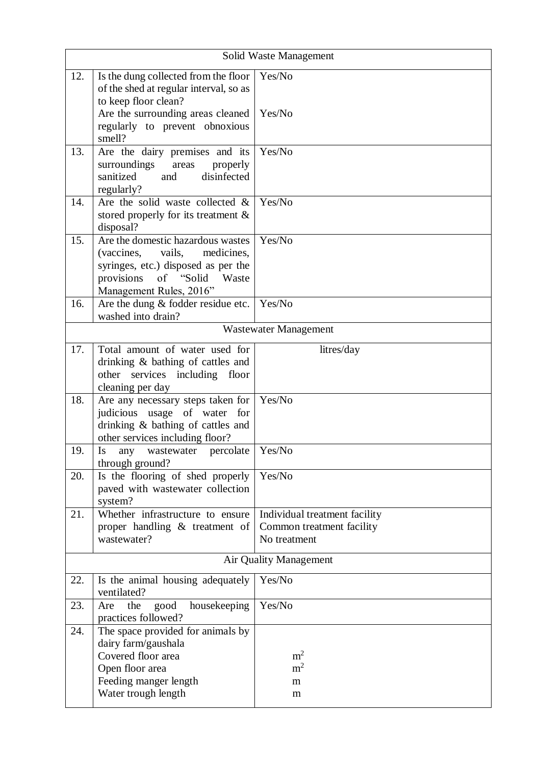| Solid Waste Management |                                                                                                                                                                                         |                                                                            |  |  |  |
|------------------------|-----------------------------------------------------------------------------------------------------------------------------------------------------------------------------------------|----------------------------------------------------------------------------|--|--|--|
| 12.                    | Is the dung collected from the floor<br>of the shed at regular interval, so as<br>to keep floor clean?<br>Are the surrounding areas cleaned<br>regularly to prevent obnoxious<br>smell? | Yes/No<br>Yes/No                                                           |  |  |  |
| 13.                    | Are the dairy premises and its<br>surroundings<br>properly<br>areas<br>disinfected<br>sanitized<br>and<br>regularly?                                                                    | Yes/No                                                                     |  |  |  |
| 14.                    | Are the solid waste collected $\&$<br>stored properly for its treatment $\&$<br>disposal?                                                                                               | Yes/No                                                                     |  |  |  |
| 15.                    | Are the domestic hazardous wastes<br>(vaccines, vails,<br>medicines,<br>syringes, etc.) disposed as per the<br>"Solid"<br>provisions<br>of<br>Waste<br>Management Rules, 2016"          | Yes/No                                                                     |  |  |  |
| 16.                    | Are the dung $&$ fodder residue etc.<br>washed into drain?                                                                                                                              | Yes/No                                                                     |  |  |  |
|                        |                                                                                                                                                                                         | <b>Wastewater Management</b>                                               |  |  |  |
| 17.                    | Total amount of water used for<br>drinking & bathing of cattles and<br>other services including floor                                                                                   | litres/day                                                                 |  |  |  |
| 18.                    | cleaning per day<br>Are any necessary steps taken for<br>judicious usage of water for<br>drinking & bathing of cattles and<br>other services including floor?                           | Yes/No                                                                     |  |  |  |
| 19.                    | Is<br>percolate<br>wastewater<br>any<br>through ground?                                                                                                                                 | Yes/No                                                                     |  |  |  |
| 20.                    | Is the flooring of shed properly<br>paved with wastewater collection<br>system?                                                                                                         | Yes/No                                                                     |  |  |  |
| 21.                    | Whether infrastructure to ensure<br>proper handling & treatment of<br>wastewater?                                                                                                       | Individual treatment facility<br>Common treatment facility<br>No treatment |  |  |  |
|                        | Air Quality Management                                                                                                                                                                  |                                                                            |  |  |  |
| 22.                    | Is the animal housing adequately<br>ventilated?                                                                                                                                         | Yes/No                                                                     |  |  |  |
| 23.                    | the<br>good<br>housekeeping<br>Are<br>practices followed?                                                                                                                               | Yes/No                                                                     |  |  |  |
| 24.                    | The space provided for animals by<br>dairy farm/gaushala<br>Covered floor area<br>Open floor area<br>Feeding manger length<br>Water trough length                                       | m <sup>2</sup><br>m <sup>2</sup><br>m<br>m                                 |  |  |  |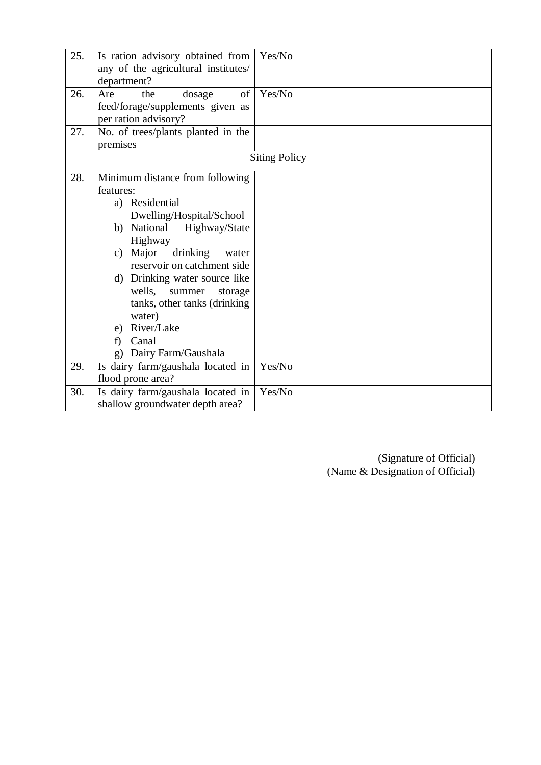| 25. | Is ration advisory obtained from<br>any of the agricultural institutes/<br>department?                                                                                                                                                                                                                                                                                    | Yes/No               |
|-----|---------------------------------------------------------------------------------------------------------------------------------------------------------------------------------------------------------------------------------------------------------------------------------------------------------------------------------------------------------------------------|----------------------|
| 26. | of<br>the<br>Are<br>dosage<br>feed/forage/supplements given as<br>per ration advisory?                                                                                                                                                                                                                                                                                    | Yes/No               |
| 27. | No. of trees/plants planted in the<br>premises                                                                                                                                                                                                                                                                                                                            |                      |
|     |                                                                                                                                                                                                                                                                                                                                                                           | <b>Siting Policy</b> |
| 28. | Minimum distance from following<br>features:<br>a) Residential<br>Dwelling/Hospital/School<br>b) National<br>Highway/State<br>Highway<br>c) Major<br>drinking<br>water<br>reservoir on catchment side<br>d) Drinking water source like<br>wells,<br>summer<br>storage<br>tanks, other tanks (drinking<br>water)<br>e) River/Lake<br>Canal<br>f)<br>g) Dairy Farm/Gaushala |                      |
| 29. | Is dairy farm/gaushala located in                                                                                                                                                                                                                                                                                                                                         | Yes/No               |
|     | flood prone area?                                                                                                                                                                                                                                                                                                                                                         |                      |
| 30. | Is dairy farm/gaushala located in<br>shallow groundwater depth area?                                                                                                                                                                                                                                                                                                      | Yes/No               |
|     |                                                                                                                                                                                                                                                                                                                                                                           |                      |

(Signature of Official) (Name & Designation of Official)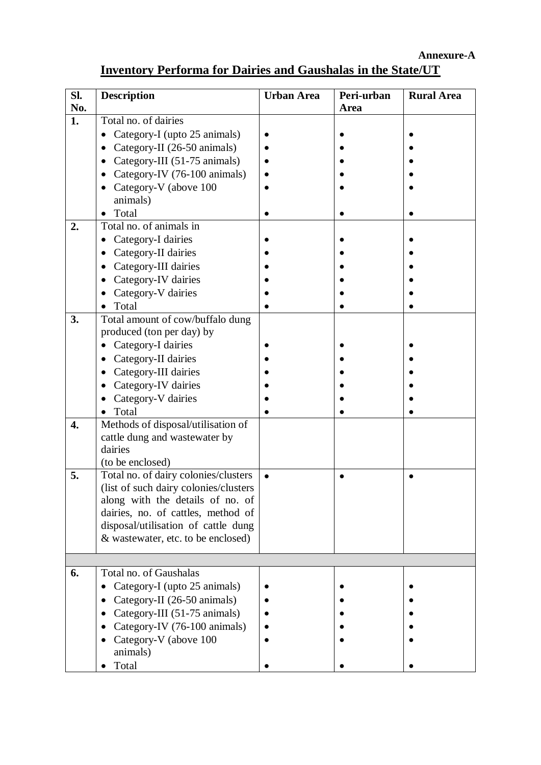**Annexure-A**

### **Inventory Performa for Dairies and Gaushalas in the State/UT**

| Sl. | <b>Description</b>                       | <b>Urban Area</b> | Peri-urban | <b>Rural Area</b> |
|-----|------------------------------------------|-------------------|------------|-------------------|
| No. |                                          |                   | Area       |                   |
| 1.  | Total no. of dairies                     |                   |            |                   |
|     | Category-I (upto 25 animals)             |                   |            |                   |
|     | Category-II (26-50 animals)              |                   |            |                   |
|     | Category-III (51-75 animals)             |                   |            |                   |
|     | Category-IV (76-100 animals)             |                   |            |                   |
|     | Category-V (above 100                    |                   |            |                   |
|     | animals)                                 |                   |            |                   |
|     | Total                                    |                   |            |                   |
| 2.  | Total no. of animals in                  |                   |            |                   |
|     | Category-I dairies                       |                   |            |                   |
|     | Category-II dairies                      |                   |            |                   |
|     | Category-III dairies                     |                   |            |                   |
|     | Category-IV dairies                      |                   |            |                   |
|     | Category-V dairies                       |                   |            |                   |
|     | Total                                    |                   |            |                   |
| 3.  | Total amount of cow/buffalo dung         |                   |            |                   |
|     | produced (ton per day) by                |                   |            |                   |
|     | Category-I dairies                       |                   |            |                   |
|     | Category-II dairies                      |                   |            |                   |
|     | Category-III dairies                     |                   |            |                   |
|     | Category-IV dairies                      |                   |            |                   |
|     | Category-V dairies                       |                   |            |                   |
|     | Total                                    |                   |            |                   |
| 4.  | Methods of disposal/utilisation of       |                   |            |                   |
|     | cattle dung and wastewater by<br>dairies |                   |            |                   |
|     | (to be enclosed)                         |                   |            |                   |
| 5.  | Total no. of dairy colonies/clusters     |                   |            |                   |
|     | (list of such dairy colonies/clusters)   |                   |            |                   |
|     | along with the details of no. of         |                   |            |                   |
|     | dairies, no. of cattles, method of       |                   |            |                   |
|     | disposal/utilisation of cattle dung      |                   |            |                   |
|     | & wastewater, etc. to be enclosed)       |                   |            |                   |
|     |                                          |                   |            |                   |
|     | Total no. of Gaushalas                   |                   |            |                   |
| 6.  |                                          |                   |            |                   |
|     | Category-I (upto 25 animals)             |                   |            |                   |
|     | Category-II (26-50 animals)              |                   |            |                   |
|     | Category-III (51-75 animals)             |                   |            |                   |
|     | Category-IV (76-100 animals)             |                   |            |                   |
|     | Category-V (above 100                    |                   |            |                   |
|     | animals)<br>Total                        |                   |            |                   |
|     |                                          |                   |            |                   |